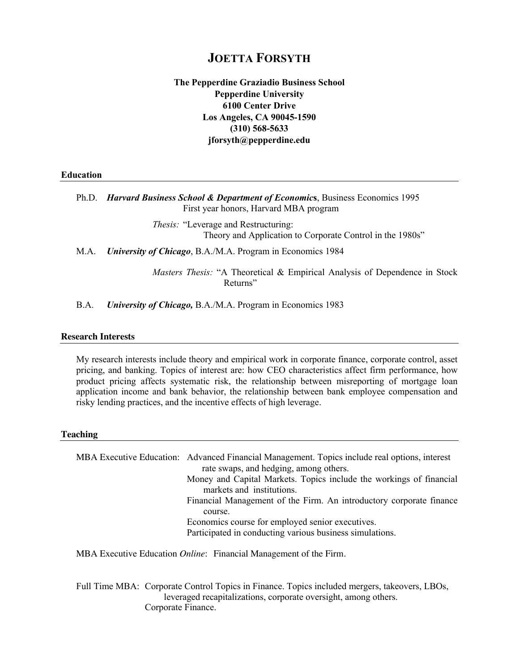# **JOETTA FORSYTH**

**The Pepperdine Graziadio Business School Pepperdine University 6100 Center Drive Los Angeles, CA 90045-1590 (310) 568-5633 jforsyth@pepperdine.edu**

**Education**

Ph.D. *Harvard Business School & Department of Economic***s**, Business Economics 1995 First year honors, Harvard MBA program

> *Thesis:* "Leverage and Restructuring: Theory and Application to Corporate Control in the 1980s"

M.A. *University of Chicago*, B.A./M.A. Program in Economics 1984

*Masters Thesis:* "A Theoretical & Empirical Analysis of Dependence in Stock Returns"

B.A. *University of Chicago,* B.A./M.A. Program in Economics 1983

## **Research Interests**

My research interests include theory and empirical work in corporate finance, corporate control, asset pricing, and banking. Topics of interest are: how CEO characteristics affect firm performance, how product pricing affects systematic risk, the relationship between misreporting of mortgage loan application income and bank behavior, the relationship between bank employee compensation and risky lending practices, and the incentive effects of high leverage.

## **Teaching**

MBA Executive Education: Advanced Financial Management. Topics include real options, interest rate swaps, and hedging, among others. Money and Capital Markets. Topics include the workings of financial markets and institutions. Financial Management of the Firm. An introductory corporate finance course. Economics course for employed senior executives. Participated in conducting various business simulations. MBA Executive Education *Online*: Financial Management of the Firm.

Full Time MBA: Corporate Control Topics in Finance. Topics included mergers, takeovers, LBOs, leveraged recapitalizations, corporate oversight, among others. Corporate Finance.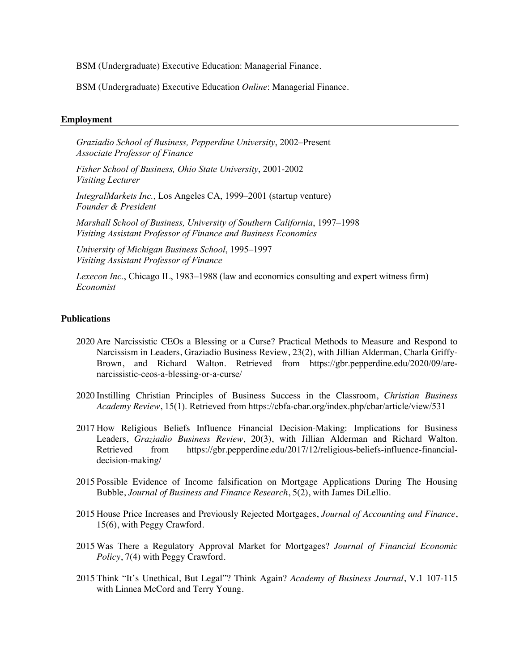BSM (Undergraduate) Executive Education: Managerial Finance.

BSM (Undergraduate) Executive Education *Online*: Managerial Finance.

## **Employment**

*Graziadio School of Business, Pepperdine University*, 2002–Present *Associate Professor of Finance*

*Fisher School of Business, Ohio State University*, 2001-2002 *Visiting Lecturer*

*IntegralMarkets Inc.*, Los Angeles CA, 1999–2001 (startup venture) *Founder & President*

*Marshall School of Business, University of Southern California*, 1997–1998 *Visiting Assistant Professor of Finance and Business Economics*

*University of Michigan Business School*, 1995–1997 *Visiting Assistant Professor of Finance*

*Lexecon Inc.*, Chicago IL, 1983–1988 (law and economics consulting and expert witness firm) *Economist*

#### **Publications**

- 2020 Are Narcissistic CEOs a Blessing or a Curse? Practical Methods to Measure and Respond to Narcissism in Leaders, Graziadio Business Review, 23(2), with Jillian Alderman, Charla Griffy-Brown, and Richard Walton. Retrieved from https://gbr.pepperdine.edu/2020/09/arenarcissistic-ceos-a-blessing-or-a-curse/
- 2020 Instilling Christian Principles of Business Success in the Classroom, *Christian Business Academy Review*, 15(1). Retrieved from https://cbfa-cbar.org/index.php/cbar/article/view/531
- 2017 How Religious Beliefs Influence Financial Decision-Making: Implications for Business Leaders, *Graziadio Business Review*, 20(3), with Jillian Alderman and Richard Walton. Retrieved from https://gbr.pepperdine.edu/2017/12/religious-beliefs-influence-financialdecision-making/
- 2015 Possible Evidence of Income falsification on Mortgage Applications During The Housing Bubble, *Journal of Business and Finance Research*, 5(2), with James DiLellio.
- 2015 House Price Increases and Previously Rejected Mortgages, *Journal of Accounting and Finance*, 15(6), with Peggy Crawford.
- 2015 Was There a Regulatory Approval Market for Mortgages? *Journal of Financial Economic Policy*, 7(4) with Peggy Crawford.
- 2015 Think "It's Unethical, But Legal"? Think Again? *Academy of Business Journal*, V.1 107-115 with Linnea McCord and Terry Young.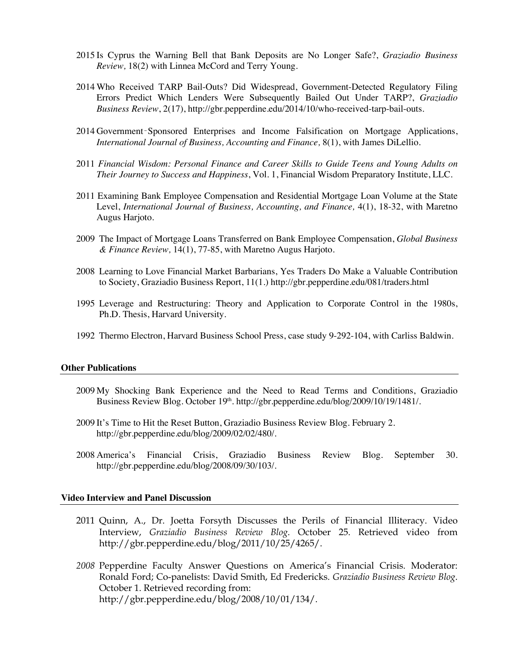- 2015 Is Cyprus the Warning Bell that Bank Deposits are No Longer Safe?, *Graziadio Business Review,* 18(2) with Linnea McCord and Terry Young.
- 2014 Who Received TARP Bail-Outs? Did Widespread, Government-Detected Regulatory Filing Errors Predict Which Lenders Were Subsequently Bailed Out Under TARP?, *Graziadio Business Review*, 2(17), http://gbr.pepperdine.edu/2014/10/who-received-tarp-bail-outs.
- 2014 Government‑Sponsored Enterprises and Income Falsification on Mortgage Applications, *International Journal of Business, Accounting and Finance,* 8(1), with James DiLellio.
- 2011 *Financial Wisdom: Personal Finance and Career Skills to Guide Teens and Young Adults on Their Journey to Success and Happiness*, Vol. 1, Financial Wisdom Preparatory Institute, LLC.
- 2011 Examining Bank Employee Compensation and Residential Mortgage Loan Volume at the State Level, *International Journal of Business, Accounting, and Finance, 4(1), 18-32, with Maretno* Augus Harjoto.
- 2009 The Impact of Mortgage Loans Transferred on Bank Employee Compensation, *Global Business & Finance Review,* 14(1), 77-85, with Maretno Augus Harjoto.
- 2008 Learning to Love Financial Market Barbarians, Yes Traders Do Make a Valuable Contribution to Society, Graziadio Business Report, 11(1.) http://gbr.pepperdine.edu/081/traders.html
- 1995 Leverage and Restructuring: Theory and Application to Corporate Control in the 1980s, Ph.D. Thesis, Harvard University.
- 1992 Thermo Electron, Harvard Business School Press, case study 9-292-104, with Carliss Baldwin.

#### **Other Publications**

- 2009 My Shocking Bank Experience and the Need to Read Terms and Conditions, Graziadio Business Review Blog. October 19<sup>th</sup>. http://gbr.pepperdine.edu/blog/2009/10/19/1481/.
- 2009 It's Time to Hit the Reset Button, Graziadio Business Review Blog. February 2. http://gbr.pepperdine.edu/blog/2009/02/02/480/.
- 2008 America's Financial Crisis, Graziadio Business Review Blog. September 30. http://gbr.pepperdine.edu/blog/2008/09/30/103/.

## **Video Interview and Panel Discussion**

- 2011 Quinn, A., Dr. Joetta Forsyth Discusses the Perils of Financial Illiteracy. Video Interview, *Graziadio Business Review Blog*. October 25. Retrieved video from http://gbr.pepperdine.edu/blog/2011/10/25/4265/.
- *2008* Pepperdine Faculty Answer Questions on America's Financial Crisis. Moderator: Ronald Ford; Co-panelists: David Smith, Ed Fredericks. *Graziadio Business Review Blog*. October 1. Retrieved recording from: http://gbr.pepperdine.edu/blog/2008/10/01/134/.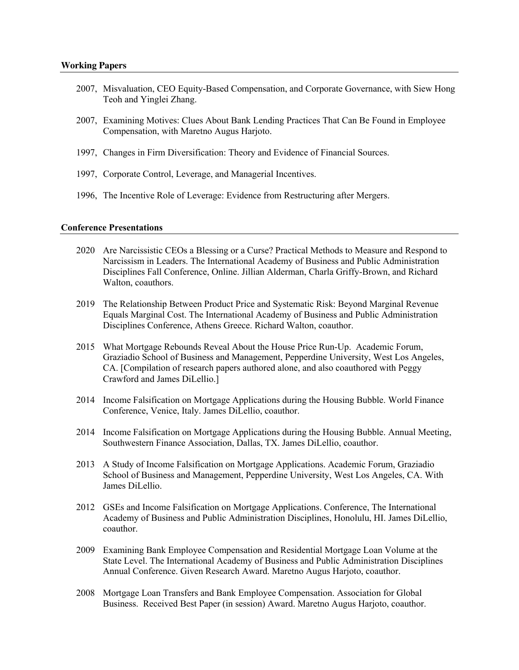- 2007, Misvaluation, CEO Equity-Based Compensation, and Corporate Governance, with Siew Hong Teoh and Yinglei Zhang.
- 2007, Examining Motives: Clues About Bank Lending Practices That Can Be Found in Employee Compensation, with Maretno Augus Harjoto.
- 1997, Changes in Firm Diversification: Theory and Evidence of Financial Sources.
- 1997, Corporate Control, Leverage, and Managerial Incentives.
- 1996, The Incentive Role of Leverage: Evidence from Restructuring after Mergers.

## **Conference Presentations**

- 2020 Are Narcissistic CEOs a Blessing or a Curse? Practical Methods to Measure and Respond to Narcissism in Leaders. The International Academy of Business and Public Administration Disciplines Fall Conference, Online. Jillian Alderman, Charla Griffy-Brown, and Richard Walton, coauthors.
- 2019 The Relationship Between Product Price and Systematic Risk: Beyond Marginal Revenue Equals Marginal Cost. The International Academy of Business and Public Administration Disciplines Conference, Athens Greece. Richard Walton, coauthor.
- 2015 What Mortgage Rebounds Reveal About the House Price Run-Up. Academic Forum, Graziadio School of Business and Management, Pepperdine University, West Los Angeles, CA. [Compilation of research papers authored alone, and also coauthored with Peggy Crawford and James DiLellio.]
- 2014 Income Falsification on Mortgage Applications during the Housing Bubble. World Finance Conference, Venice, Italy. James DiLellio, coauthor.
- 2014 Income Falsification on Mortgage Applications during the Housing Bubble. Annual Meeting, Southwestern Finance Association, Dallas, TX. James DiLellio, coauthor.
- 2013 A Study of Income Falsification on Mortgage Applications. Academic Forum, Graziadio School of Business and Management, Pepperdine University, West Los Angeles, CA. With James DiLellio.
- 2012 GSEs and Income Falsification on Mortgage Applications. Conference, The International Academy of Business and Public Administration Disciplines, Honolulu, HI. James DiLellio, coauthor.
- 2009 Examining Bank Employee Compensation and Residential Mortgage Loan Volume at the State Level. The International Academy of Business and Public Administration Disciplines Annual Conference. Given Research Award. Maretno Augus Harjoto, coauthor.
- 2008 Mortgage Loan Transfers and Bank Employee Compensation. Association for Global Business. Received Best Paper (in session) Award. Maretno Augus Harjoto, coauthor.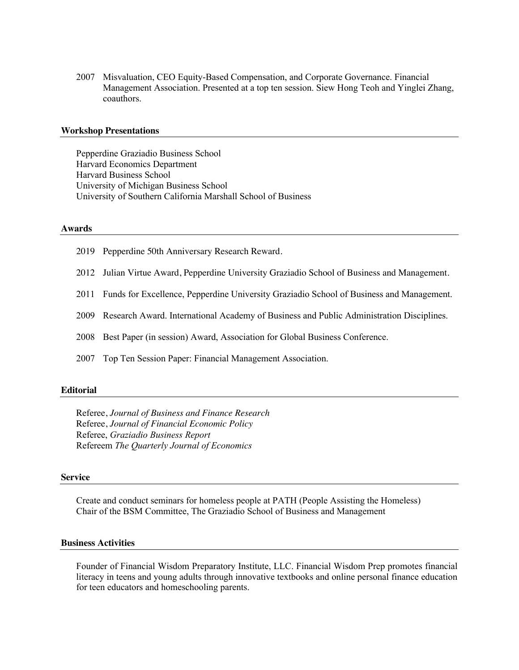2007 Misvaluation, CEO Equity-Based Compensation, and Corporate Governance. Financial Management Association. Presented at a top ten session. Siew Hong Teoh and Yinglei Zhang, coauthors.

## **Workshop Presentations**

Pepperdine Graziadio Business School Harvard Economics Department Harvard Business School University of Michigan Business School University of Southern California Marshall School of Business

#### **Awards**

- 2019 Pepperdine 50th Anniversary Research Reward.
- 2012 Julian Virtue Award, Pepperdine University Graziadio School of Business and Management.
- 2011 Funds for Excellence, Pepperdine University Graziadio School of Business and Management.
- 2009 Research Award. International Academy of Business and Public Administration Disciplines.
- 2008 Best Paper (in session) Award, Association for Global Business Conference.
- 2007 Top Ten Session Paper: Financial Management Association.

#### **Editorial**

Referee, *Journal of Business and Finance Research* Referee, *Journal of Financial Economic Policy* Referee, *Graziadio Business Report* Refereem *The Quarterly Journal of Economics*

#### **Service**

Create and conduct seminars for homeless people at PATH (People Assisting the Homeless) Chair of the BSM Committee, The Graziadio School of Business and Management

## **Business Activities**

Founder of Financial Wisdom Preparatory Institute, LLC. Financial Wisdom Prep promotes financial literacy in teens and young adults through innovative textbooks and online personal finance education for teen educators and homeschooling parents.